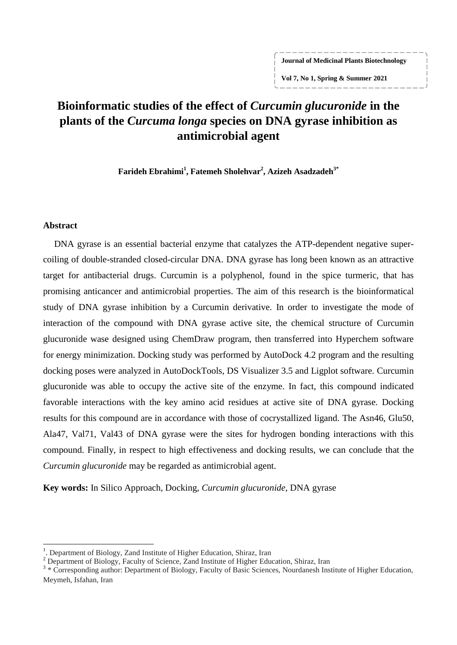#### **Journal of Medicinal Plants Biotechnology**

**Vol 7, No 1, Spring & Summer 2021**

# **Bioinformatic studies of the effect of** *Curcumin glucuronide* **in the plants of the** *Curcuma longa* **species on DNA gyrase inhibition as antimicrobial agent**

**Farideh Ebrahimi<sup>1</sup> , Fatemeh Sholehvar<sup>2</sup> , Azizeh Asadzadeh3\***

#### **Abstract**

 $\overline{a}$ 

DNA gyrase is an essential bacterial enzyme that catalyzes the ATP-dependent negative supercoiling of double-stranded closed-circular DNA. DNA gyrase has long been known as an attractive target for antibacterial drugs. Curcumin is a polyphenol, found in the spice turmeric, that has promising anticancer and antimicrobial properties. The aim of this research is the bioinformatical study of DNA gyrase inhibition by a Curcumin derivative. In order to investigate the mode of interaction of the compound with DNA gyrase active site, the chemical structure of Curcumin glucuronide wase designed using ChemDraw program, then transferred into Hyperchem software for energy minimization. Docking study was performed by AutoDock 4.2 program and the resulting docking poses were analyzed in AutoDockTools, DS Visualizer 3.5 and Ligplot software. Curcumin glucuronide was able to occupy the active site of the enzyme. In fact, this compound indicated favorable interactions with the key amino acid residues at active site of DNA gyrase. Docking results for this compound are in accordance with those of cocrystallized ligand. The Asn46, Glu50, Ala47, Val71, Val43 of DNA gyrase were the sites for hydrogen bonding interactions with this compound. Finally, in respect to high effectiveness and docking results, we can conclude that the *Curcumin glucuronide* may be regarded as antimicrobial agent.

**Key words:** In Silico Approach, Docking, *Curcumin glucuronide*, DNA gyrase

<sup>&</sup>lt;sup>1</sup>. Department of Biology, Zand Institute of Higher Education, Shiraz, Iran

<sup>&</sup>lt;sup>2</sup> Department of Biology, Faculty of Science, Zand Institute of Higher Education, Shiraz, Iran

<sup>&</sup>lt;sup>3</sup> \* Corresponding author: Department of Biology, Faculty of Basic Sciences, Nourdanesh Institute of Higher Education, Meymeh, Isfahan, Iran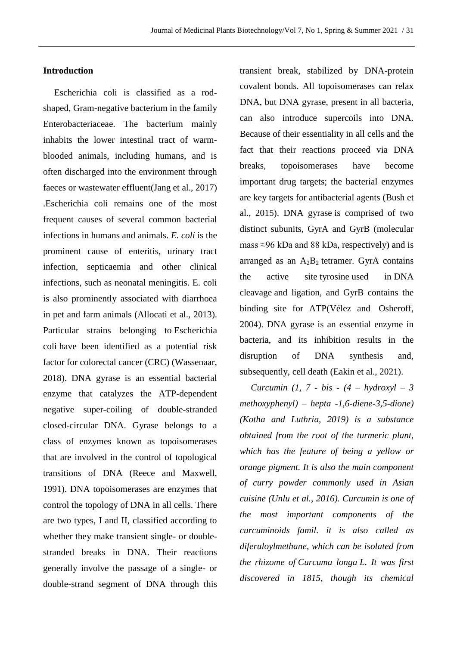#### **Introduction**

Escherichia coli is classified as a rodshaped, Gram-negative bacterium in the family Enterobacteriaceae. The bacterium mainly inhabits the lower intestinal tract of warmblooded animals, including humans, and is often discharged into the environment through faeces or wastewater effluent[\(Jang](https://pubmed.ncbi.nlm.nih.gov/?term=Jang+J&cauthor_id=28383815) et al., 2017) .Escherichia coli remains one of the most frequent causes of several common bacterial infections in humans and animals. *E. coli* is the prominent cause of enteritis, urinary tract infection, septicaemia and other clinical infections, such as neonatal meningitis. E. coli is also prominently associated with diarrhoea in pet and farm animals [\(Allocati](https://pubmed.ncbi.nlm.nih.gov/?term=Allocati+N&cauthor_id=24287850) et al., 2013). Particular strains belonging to Escherichia coli have been identified as a potential risk factor for colorectal cancer (CRC) (Wassenaar, 2018). DNA gyrase is an essential bacterial enzyme that catalyzes the ATP-dependent negative super-coiling of double-stranded closed-circular DNA. Gyrase belongs to a class of enzymes known as topoisomerases that are involved in the control of topological transitions of DNA (Reece and Maxwell, 1991). DNA topoisomerases are enzymes that control the topology of DNA in all cells. There are two types, I and II, classified according to whether they make transient single- or doublestranded breaks in DNA. Their reactions generally involve the passage of a single- or double-strand segment of DNA through this

transient break, stabilized by DNA-protein covalent bonds. All topoisomerases can relax DNA, but DNA gyrase, present in all bacteria, can also introduce supercoils into DNA. Because of their essentiality in all cells and the fact that their reactions proceed via DNA breaks, topoisomerases have become important drug targets; the bacterial enzymes are key targets for antibacterial agents (Bush et al., 2015). DNA gyrase is comprised of two distinct subunits, GyrA and GyrB (molecular mass  $\approx$ 96 kDa and 88 kDa, respectively) and is arranged as an  $A_2B_2$  [tetramer.](https://www.sciencedirect.com/topics/pharmacology-toxicology-and-pharmaceutical-science/tetramer) GyrA contains the active site [tyrosine](https://www.sciencedirect.com/topics/pharmacology-toxicology-and-pharmaceutical-science/tyrosine) used in [DNA](https://www.sciencedirect.com/topics/biochemistry-genetics-and-molecular-biology/dna-cleavage)  [cleavage](https://www.sciencedirect.com/topics/biochemistry-genetics-and-molecular-biology/dna-cleavage) and ligation, and GyrB contains the binding site for ATP(Vélez and Osheroff, 2004). DNA gyrase is an essential enzyme in bacteria, and its inhibition results in the disruption of DNA synthesis and, subsequently, cell death (Eakin et al., 2021).

*Curcumin (1, 7 - bis - (4 – hydroxyl – 3 methoxyphenyl) – hepta -1,6-diene-3,5-dione) (Kotha and Luthria, 2019) is a substance obtained from the root of the turmeric plant, which has the feature of being a yellow or orange pigment. It is also the main component of curry powder commonly used in Asian cuisine (Unlu et al., 2016). Curcumin is one of the most important components of the curcuminoids famil. it is also called as diferuloylmethane, which can be isolated from the rhizome of Curcuma longa L. It was first discovered in 1815, though its chemical*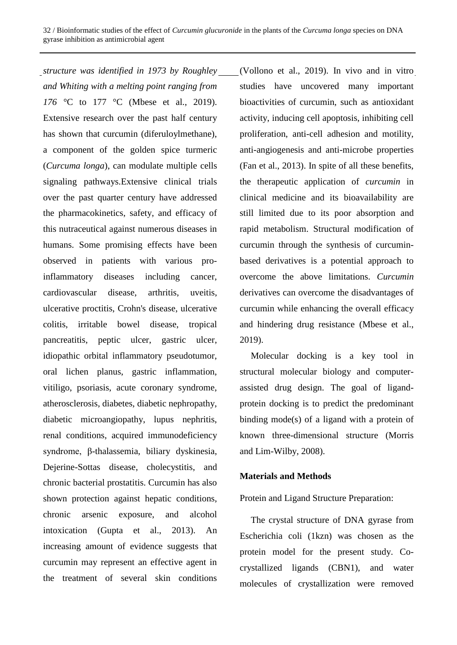*structure was identified in 1973 by Roughley and Whiting with a melting point ranging from 176 °*C to 177 °C (Mbese et al., 2019). Extensive research over the past half century has shown that curcumin (diferuloylmethane), a component of the golden spice turmeric (*Curcuma longa*), can modulate multiple cells signaling pathways.Extensive clinical trials over the past quarter century have addressed the pharmacokinetics, safety, and efficacy of this nutraceutical against numerous diseases in humans. Some promising effects have been observed in patients with various proinflammatory diseases including cancer, cardiovascular disease, arthritis, uveitis, ulcerative proctitis, Crohn's disease, ulcerative colitis, irritable bowel disease, tropical pancreatitis, peptic ulcer, gastric ulcer, idiopathic orbital inflammatory pseudotumor, oral lichen planus, gastric inflammation, vitiligo, psoriasis, acute coronary syndrome, atherosclerosis, diabetes, diabetic nephropathy, diabetic microangiopathy, lupus nephritis, renal conditions, acquired immunodeficiency syndrome, β-thalassemia, biliary dyskinesia, Dejerine-Sottas disease, cholecystitis, and chronic bacterial prostatitis. Curcumin has also shown protection against hepatic conditions, chronic arsenic exposure, and alcohol intoxication [\(Gupta](https://pubmed.ncbi.nlm.nih.gov/?term=Gupta+SC&cauthor_id=23143785) et al., 2013). An increasing amount of evidence suggests that curcumin may represent an effective agent in the treatment of several skin conditions

[\(Vollono](https://pubmed.ncbi.nlm.nih.gov/?term=Vollono+L&cauthor_id=31509968) et al., 2019). In vivo and in vitro studies have uncovered many important bioactivities of curcumin, such as antioxidant activity, inducing cell apoptosis, inhibiting cell proliferation, anti-cell adhesion and motility, anti-angiogenesis and anti-microbe properties (Fan et al., 2013). In spite of all these benefits, the therapeutic application of *curcumin* in clinical medicine and its bioavailability are still limited due to its poor absorption and rapid metabolism. Structural modification of curcumin through the synthesis of curcuminbased derivatives is a potential approach to overcome the above limitations. *Curcumin* derivatives can overcome the disadvantages of curcumin while enhancing the overall efficacy and hindering drug resistance (Mbese et al., 2019).

Molecular docking is a key tool in structural molecular biology and computerassisted drug design. The goal of ligandprotein docking is to predict the predominant binding mode(s) of a ligand with a protein of known three-dimensional structure (Morris and Lim-Wilby, 2008).

## **Materials and Methods**

Protein and Ligand Structure Preparation:

The crystal structure of DNA gyrase from Escherichia coli (1kzn) was chosen as the protein model for the present study. Cocrystallized ligands (CBN1), and water molecules of crystallization were removed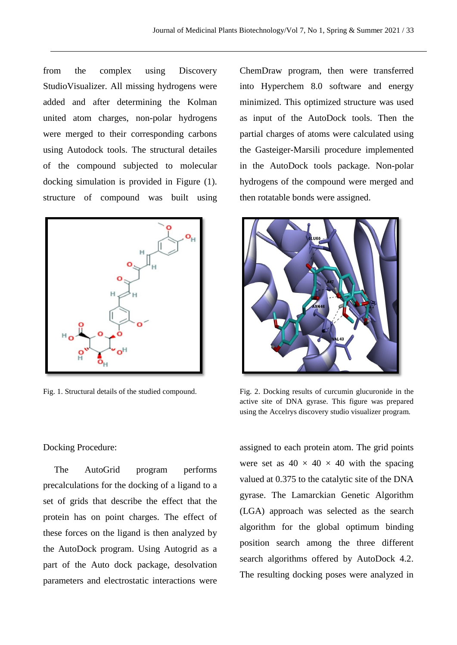from the complex using Discovery StudioVisualizer. All missing hydrogens were added and after determining the Kolman united atom charges, non-polar hydrogens were merged to their corresponding carbons using Autodock tools. The structural detailes of the compound subjected to molecular docking simulation is provided in Figure (1). structure of compound was built using



ChemDraw program, then were transferred into Hyperchem 8.0 software and energy minimized. This optimized structure was used as input of the AutoDock tools. Then the partial charges of atoms were calculated using the Gasteiger-Marsili procedure implemented in the AutoDock tools package. Non-polar hydrogens of the compound were merged and then rotatable bonds were assigned.



Fig. 1. Structural details of the studied compound. Fig. 2. Docking results of curcumin glucuronide in the active site of DNA gyrase. This figure was prepared using the Accelrys discovery studio visualizer program.

Docking Procedure:

The AutoGrid program performs precalculations for the docking of a ligand to a set of grids that describe the effect that the protein has on point charges. The effect of these forces on the ligand is then analyzed by the AutoDock program. Using Autogrid as a part of the Auto dock package, desolvation parameters and electrostatic interactions were

assigned to each protein atom. The grid points were set as  $40 \times 40 \times 40$  with the spacing valued at 0.375 to the catalytic site of the DNA gyrase. The Lamarckian Genetic Algorithm (LGA) approach was selected as the search algorithm for the global optimum binding position search among the three different search algorithms offered by AutoDock 4.2. The resulting docking poses were analyzed in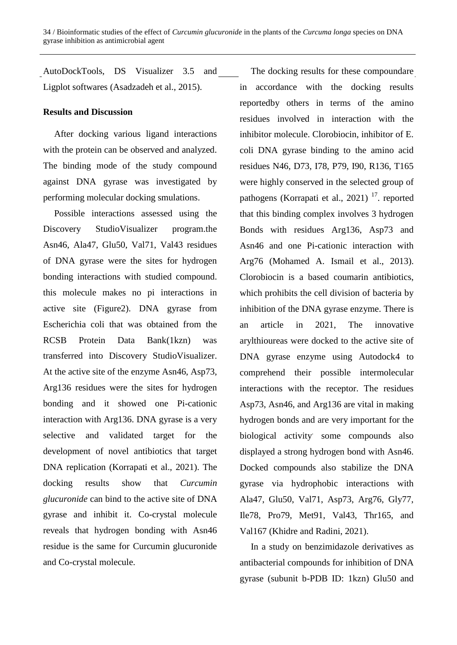AutoDockTools, DS Visualizer 3.5 and Ligplot softwares (Asadzadeh et al., 2015).

## **Results and Discussion**

After docking various ligand interactions with the protein can be observed and analyzed. The binding mode of the study compound against DNA gyrase was investigated by performing molecular docking smulations.

Possible interactions assessed using the Discovery StudioVisualizer program.the Asn46, Ala47, Glu50, Val71, Val43 residues of DNA gyrase were the sites for hydrogen bonding interactions with studied compound. this molecule makes no pi interactions in active site (Figure2). DNA gyrase from Escherichia coli that was obtained from the RCSB Protein Data Bank(1kzn) was transferred into Discovery StudioVisualizer. At the active site of the enzyme Asn46, Asp73, Arg136 residues were the sites for hydrogen bonding and it showed one Pi-cationic interaction with Arg136. DNA gyrase is a very selective and validated target for the development of novel antibiotics that target DNA replication (Korrapati et al., 2021). The docking results show that *Curcumin glucuronide* can bind to the active site of DNA gyrase and inhibit it. Co-crystal molecule reveals that hydrogen bonding with Asn46 residue is the same for Curcumin glucuronide and Co-crystal molecule.

The docking results for these compoundare in accordance with the docking results reportedby others in terms of the amino residues involved in interaction with the inhibitor molecule. Clorobiocin, inhibitor of E. coli DNA gyrase binding to the amino acid residues N46, D73, I78, P79, I90, R136, T165 were highly conserved in the selected group of pathogens (Korrapati et al., 2021)<sup>17</sup>. reported that this binding complex involves 3 hydrogen Bonds with residues Arg136, Asp73 and Asn46 and one Pi-cationic interaction with Arg76 (Mohamed A. Ismail et al., 2013). Clorobiocin is a based coumarin antibiotics, which prohibits the cell division of bacteria by inhibition of the DNA gyrase enzyme. There is an article in 2021, The innovative arylthioureas were docked to the active site of DNA gyrase enzyme using Autodock4 to comprehend their possible intermolecular interactions with the receptor. The residues Asp73, Asn46, and Arg136 are vital in making hydrogen bonds and are very important for the biological activity. some compounds also displayed a strong hydrogen bond with Asn46. Docked compounds also stabilize the DNA gyrase via hydrophobic interactions with Ala47, Glu50, Val71, Asp73, Arg76, Gly77, Ile78, Pro79, Met91, Val43, Thr165, and Val167 (Khidre and Radini, 2021).

In a study on benzimidazole derivatives as antibacterial compounds for inhibition of DNA gyrase (subunit b-PDB ID: 1kzn) Glu50 and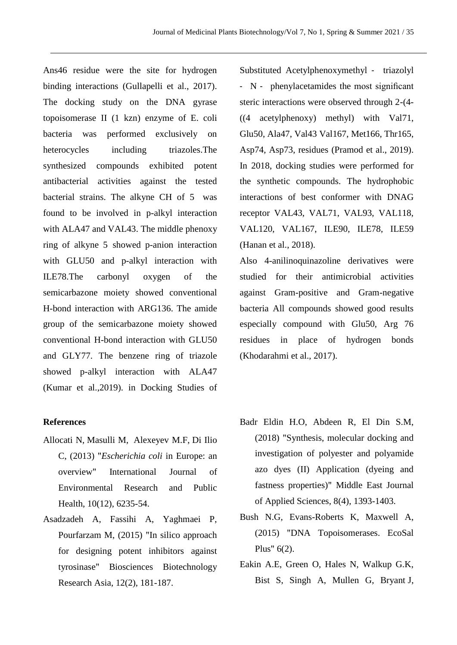Ans46 residue were the site for hydrogen binding interactions (Gullapelli et al., 2017). The docking study on the DNA gyrase topoisomerase II (1 kzn) enzyme of E. coli bacteria was performed exclusively on heterocycles including triazoles. The synthesized compounds exhibited potent antibacterial activities against the tested bacterial strains. The alkyne CH of 5 was found to be involved in p-alkyl interaction with ALA47 and VAL43. The middle phenoxy ring of alkyne 5 showed p-anion interaction with GLU50 and p-alkyl interaction with ILE78.The carbonyl oxygen of the semicarbazone moiety showed conventional H-bond interaction with ARG136. The amide group of the semicarbazone moiety showed conventional H-bond interaction with GLU50 and GLY77. The benzene ring of triazole showed p-alkyl interaction with ALA47 (Kumar et al.,2019). in Docking Studies of

#### **References**

- [Allocati](https://pubmed.ncbi.nlm.nih.gov/?term=Allocati+N&cauthor_id=24287850) N, [Masulli](https://pubmed.ncbi.nlm.nih.gov/?term=Masulli+M&cauthor_id=24287850) M, [Alexeyev](https://pubmed.ncbi.nlm.nih.gov/?term=Alexeyev+MF&cauthor_id=24287850) M.F, [Di Ilio](https://pubmed.ncbi.nlm.nih.gov/?term=Di+Ilio+C&cauthor_id=24287850) C, (2013) "*Escherichia coli* in Europe: an overview" International Journal of Environmental Research and Public Health, 10(12), 6235-54.
- Asadzadeh A, Fassihi A, Yaghmaei P, Pourfarzam M, (2015) "In silico approach for designing potent inhibitors against tyrosinase" Biosciences Biotechnology Research Asia, 12(2), 181-187.

Substituted Acetylphenoxymethyl ‐ triazolyl ‐ N ‐ phenylacetamides the most significant steric interactions were observed through 2-(4- ((4 acetylphenoxy) methyl) with Val71, Glu50, Ala47, Val43 Val167, Met166, Thr165, Asp74, Asp73, residues (Pramod et al., 2019). In 2018, docking studies were performed for the synthetic compounds. The hydrophobic interactions of best conformer with DNAG receptor VAL43, VAL71, VAL93, VAL118, VAL120, VAL167, ILE90, ILE78, ILE59 (Hanan et al., 2018).

Also 4-anilinoquinazoline derivatives were studied for their antimicrobial activities against Gram-positive and Gram-negative bacteria All compounds showed good results especially compound with Glu50, Arg 76 residues in place of hydrogen bonds (Khodarahmi et al., 2017).

- Badr Eldin H.O, Abdeen R, El Din S.M, (2018) "Synthesis, molecular docking and investigation of polyester and polyamide azo dyes (II) Application (dyeing and fastness properties)" Middle East Journal of Applied Sciences, 8(4), 1393-1403.
- Bush N.G, Evans-Roberts K, Maxwell A, (2015) "DNA Topoisomerases. EcoSal Plus" 6(2).
- Eakin A.E, Green O, Hales N, Walkup G.K, Bist S, Singh A, Mullen G, Bryant J,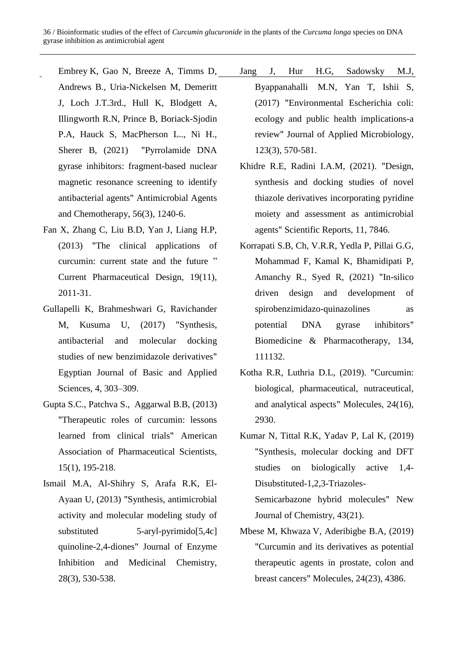- Embrey K, Gao N, Breeze A, Timms D, Andrews B., Uria-Nickelsen M, Demeritt J, Loch J.T.3rd., Hull K, Blodgett A, Illingworth R.N, Prince B, Boriack-Sjodin P.A, Hauck S, MacPherson L.., Ni H., Sherer B, (2021) "Pyrrolamide DNA gyrase inhibitors: fragment-based nuclear magnetic resonance screening to identify antibacterial agents" Antimicrobial Agents and Chemotherapy, 56(3), 1240-6.
- Fan X, Zhang C, Liu B.D, Yan J, Liang H.P, (2013) "The clinical applications of curcumin: current state and the future " Current Pharmaceutical Design, 19(11), 2011-31.
- Gullapelli K, Brahmeshwari G, Ravichander M, Kusuma U, (2017) "Synthesis, antibacterial and molecular docking studies of new benzimidazole derivatives" Egyptian Journal of Basic and Applied Sciences, 4, 303–309.
- [Gupta](https://pubmed.ncbi.nlm.nih.gov/?term=Gupta+SC&cauthor_id=23143785) S.C., [Patchva](https://pubmed.ncbi.nlm.nih.gov/?term=Patchva+S&cauthor_id=23143785) S., [Aggarwal](https://pubmed.ncbi.nlm.nih.gov/?term=Aggarwal+BB&cauthor_id=23143785) B.B, (2013) "Therapeutic roles of curcumin: lessons learned from clinical trials" American Association of Pharmaceutical Scientists, 15(1), 195-218.
- Ismail M.A, Al-Shihry S, Arafa R.K, El-Ayaan U, (2013) "Synthesis, antimicrobial activity and molecular modeling study of substituted 5-aryl-pyrimido[5,4c] quinoline-2,4-diones" Journal of Enzyme Inhibition and Medicinal Chemistry, 28(3), 530-538.
- [Jang](https://pubmed.ncbi.nlm.nih.gov/?term=Jang+J&cauthor_id=28383815) J, [Hur](https://pubmed.ncbi.nlm.nih.gov/?term=Hur+HG&cauthor_id=28383815) H.G, Sadowsky [M.J,](https://pubmed.ncbi.nlm.nih.gov/?term=Sadowsky+MJ&cauthor_id=28383815) Byappanahalli [M.N, Yan](https://pubmed.ncbi.nlm.nih.gov/?term=Byappanahalli+MN&cauthor_id=28383815) T, Ishii S, (2017) "Environmental Escherichia coli: ecology and public health implications-a review" [Journal of Applied Microbiology,](https://sfamjournals.onlinelibrary.wiley.com/journal/13652672) 123(3), 570-581.
- Khidre R.E, Radini I.A.M, (2021). "Design, synthesis and docking studies of novel thiazole derivatives incorporating pyridine moiety and assessment as antimicrobial agents" Scientific Reports, 11, 7846.
- Korrapati S.B, Ch, V.R.R, Yedla P, Pillai G.G, Mohammad F, Kamal K, Bhamidipati P, Amanchy R., Syed R, (2021) "In-silico driven design and development of spirobenzimidazo-quinazolines as potential DNA gyrase inhibitors" Biomedicine & Pharmacotherapy, 134, 111132.
- Kotha R.R, Luthria D.L, (2019). "Curcumin: biological, pharmaceutical, nutraceutical, and analytical aspects" Molecules, 24(16), 2930.
- Kumar N, Tittal R.K, Yadav P, Lal K, (2019) "Synthesis, molecular docking and DFT studies on biologically active 1,4- Disubstituted-1,2,3-Triazoles-Semicarbazone hybrid molecules" New Journal of Chemistry, 43(21).
- Mbese M, Khwaza V, Aderibigbe B.A, (2019) "Curcumin and its derivatives as potential therapeutic agents in prostate, colon and breast cancers" Molecules, 24(23), 4386.